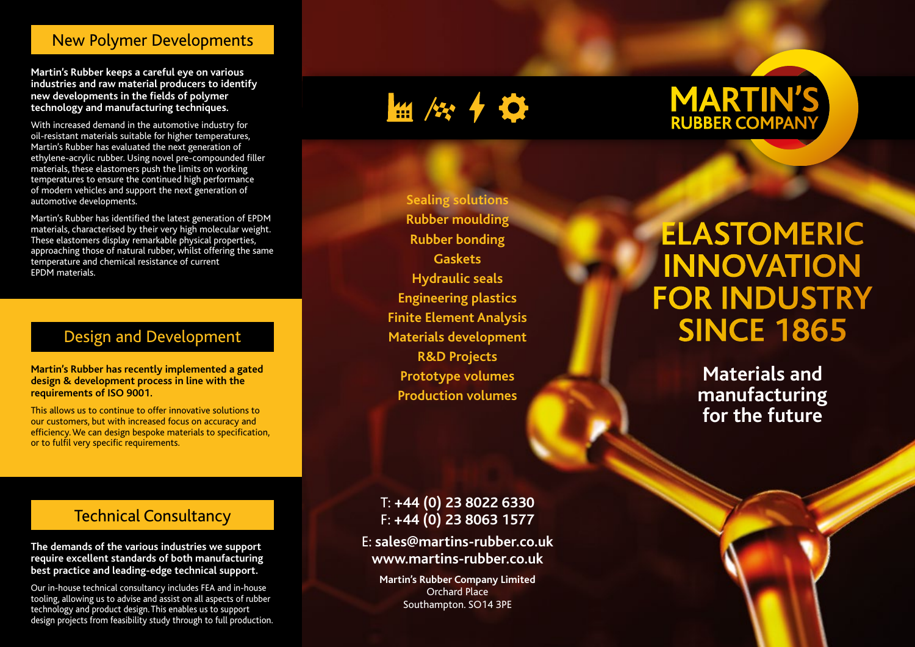#### New Polymer Developments

**Martin's Rubber keeps a careful eye on various industries and raw material producers to identify new developments in the fields of polymer technology and manufacturing techniques.**

With increased demand in the automotive industry for oil-resistant materials suitable for higher temperatures, Martin's Rubber has evaluated the next generation of ethylene-acrylic rubber. Using novel pre-compounded filler materials, these elastomers push the limits on working temperatures to ensure the continued high performance of modern vehicles and support the next generation of automotive developments.

Martin's Rubber has identified the latest generation of EPDM materials, characterised by their very high molecular weight. These elastomers display remarkable physical properties, approaching those of natural rubber, whilst offering the same temperature and chemical resistance of current EPDM materials.

# Design and Development

**Martin's Rubber has recently implemented a gated design & development process in line with the requirements of ISO 9001.** 

This allows us to continue to offer innovative solutions to our customers, but with increased focus on accuracy and efficiency. We can design bespoke materials to specification, or to fulfil very specific requirements.

# $\frac{1}{2}$  /  $\frac{1}{2}$  /  $\frac{1}{2}$

**Sealing solutions Rubber moulding Rubber bonding Gaskets Hydraulic seals Engineering plastics Finite Element Analysis Materials development R&D Projects Prototype volumes Production volumes**

# **MARTIN'S**

# **ELASTOMERIC INNOVATION FOR INDUSTRY SINCE 1865**

**Materials and manufacturing for the future**

### Technical Consultancy

**The demands of the various industries we support require excellent standards of both manufacturing best practice and leading-edge technical support.**

Our in-house technical consultancy includes FEA and in-house tooling, allowing us to advise and assist on all aspects of rubber technology and product design. This enables us to support design projects from feasibility study through to full production.

#### T: **+44 (0) 23 8022 6330** F: **+44 (0) 23 8063 1577**

E: **sales@martins-rubber.co.uk www.martins-rubber.co.uk**

**Martin's Rubber Company Limited** Orchard Place Southampton. SO14 3PE